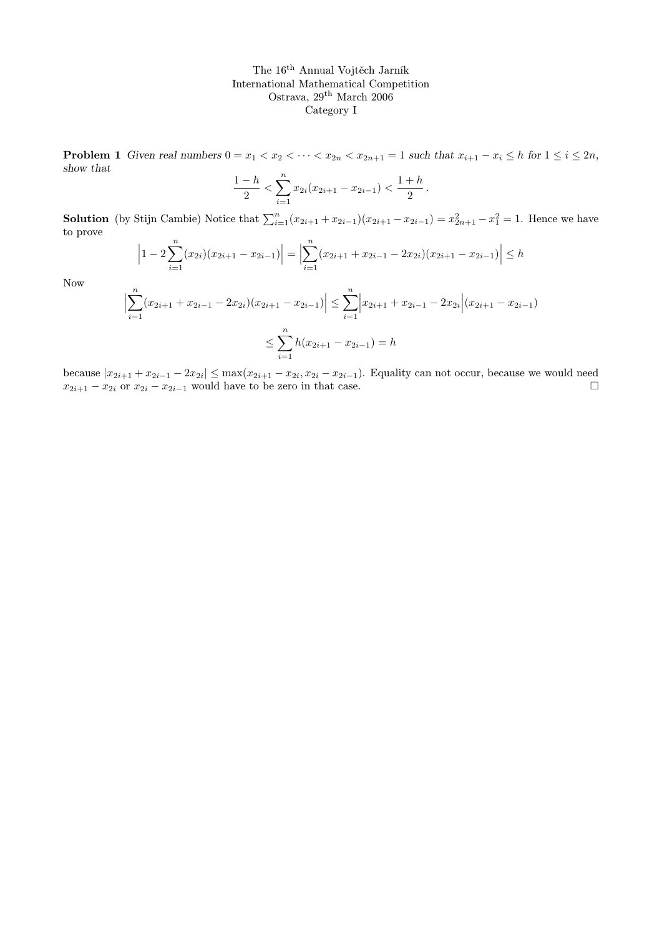**Problem 1** Given real numbers  $0 = x_1 < x_2 < \cdots < x_{2n} < x_{2n+1} = 1$  such that  $x_{i+1} - x_i \leq h$  for  $1 \leq i \leq 2n$ , show that

$$
\frac{1-h}{2} < \sum_{i=1}^{n} x_{2i} (x_{2i+1} - x_{2i-1}) < \frac{1+h}{2}.
$$

**Solution** (by Stijn Cambie) Notice that  $\sum_{i=1}^{n} (x_{2i+1} + x_{2i-1})(x_{2i+1} - x_{2i-1}) = x_{2n+1}^2 - x_1^2 = 1$ . Hence we have to prove

$$
\left|1-2\sum_{i=1}^{n}(x_{2i})(x_{2i+1}-x_{2i-1})\right| = \left|\sum_{i=1}^{n}(x_{2i+1}+x_{2i-1}-2x_{2i})(x_{2i+1}-x_{2i-1})\right| \leq h
$$

Now

$$
\left| \sum_{i=1}^{n} (x_{2i+1} + x_{2i-1} - 2x_{2i})(x_{2i+1} - x_{2i-1}) \right| \leq \sum_{i=1}^{n} \left| x_{2i+1} + x_{2i-1} - 2x_{2i} \right| (x_{2i+1} - x_{2i-1})
$$
  

$$
\leq \sum_{i=1}^{n} h(x_{2i+1} - x_{2i-1}) = h
$$

because  $|x_{2i+1} + x_{2i-1} - 2x_{2i}| \le \max(x_{2i+1} - x_{2i}, x_{2i} - x_{2i-1})$ . Equality can not occur, because we would need  $x_{2i+1} - x_{2i}$  or  $x_{2i} - x_{2i-1}$  would have to be zero in that case.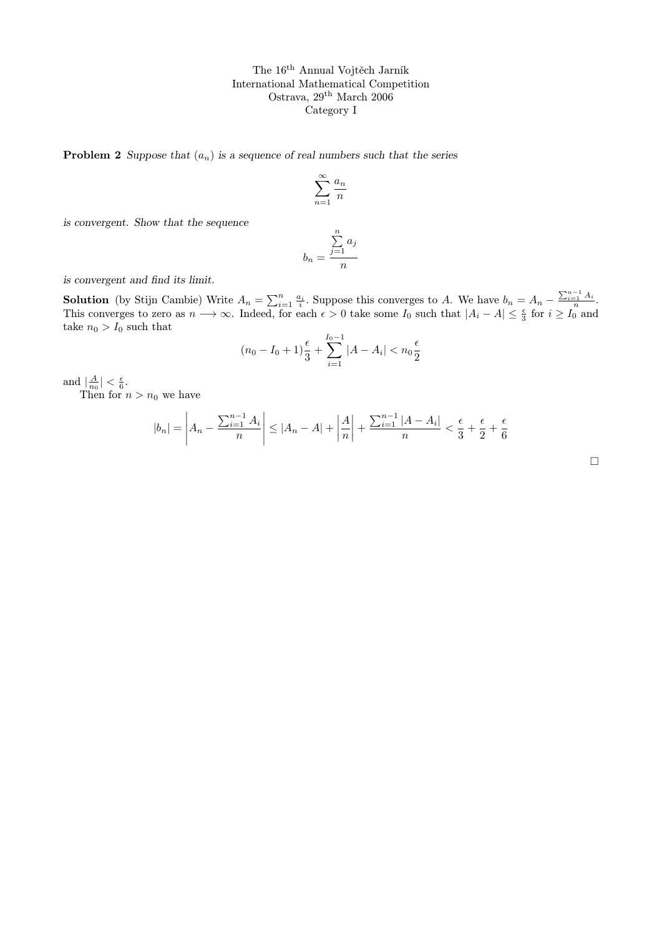**Problem 2** Suppose that  $(a_n)$  is a sequence of real numbers such that the series

$$
\sum_{n=1}^{\infty} \frac{a_n}{n}
$$

is convergent. Show that the sequence

$$
b_n = \frac{\sum_{j=1}^n a_j}{n}
$$

is convergent and find its limit.

**Solution** (by Stijn Cambie) Write  $A_n = \sum_{i=1}^n \frac{a_i}{i}$ . Suppose this converges to A. We have  $b_n = A_n - \frac{\sum_{i=1}^{n-1} A_i}{n}$ . This converges to zero as  $n \to \infty$ . Indeed, for each  $\epsilon > 0$  take some  $I_0$  such that  $|A_i - A| \leq \frac{\epsilon}{3}$  for  $i \geq I_0$  and take  $n_0 > I_0$  such that

$$
(n_0 - I_0 + 1)\frac{\epsilon}{3} + \sum_{i=1}^{I_0 - 1} |A - A_i| < n_0 \frac{\epsilon}{2}
$$

and  $\left|\frac{A}{n_0}\right| < \frac{\epsilon}{6}$ .

Then for  $n > n_0$  we have

$$
|b_n| = \left| A_n - \frac{\sum_{i=1}^{n-1} A_i}{n} \right| \le |A_n - A| + \left| \frac{A}{n} \right| + \frac{\sum_{i=1}^{n-1} |A - A_i|}{n} < \frac{\epsilon}{3} + \frac{\epsilon}{2} + \frac{\epsilon}{6}
$$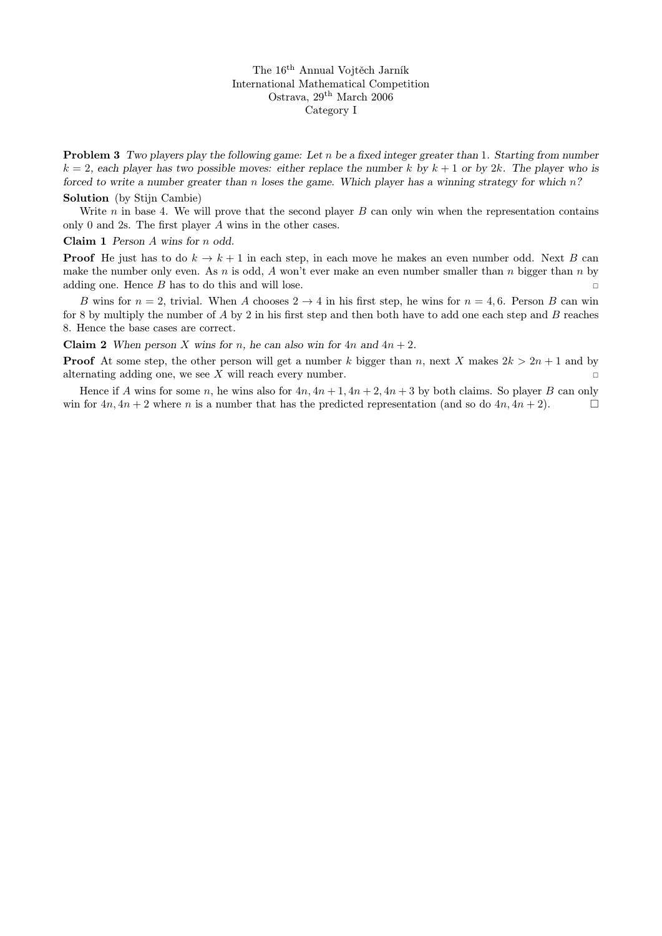**Problem 3** Two players play the following game: Let n be a fixed integer greater than 1. Starting from number  $k = 2$ , each player has two possible moves: either replace the number k by  $k + 1$  or by 2k. The player who is forced to write a number greater than n loses the game. Which player has a winning strategy for which  $n$ ?

## Solution (by Stijn Cambie)

Write  $n$  in base 4. We will prove that the second player  $B$  can only win when the representation contains only 0 and 2s. The first player A wins in the other cases.

#### Claim 1 Person A wins for n odd.

**Proof** He just has to do  $k \to k+1$  in each step, in each move he makes an even number odd. Next B can make the number only even. As n is odd, A won't ever make an even number smaller than n bigger than n by adding one. Hence  $B$  has to do this and will lose.

B wins for  $n = 2$ , trivial. When A chooses  $2 \rightarrow 4$  in his first step, he wins for  $n = 4, 6$ . Person B can win for 8 by multiply the number of A by 2 in his first step and then both have to add one each step and B reaches 8. Hence the base cases are correct.

**Claim 2** When person X wins for n, he can also win for  $4n$  and  $4n + 2$ .

**Proof** At some step, the other person will get a number k bigger than n, next X makes  $2k > 2n + 1$  and by alternating adding one, we see X will reach every number.

Hence if A wins for some n, he wins also for  $4n$ ,  $4n + 1$ ,  $4n + 2$ ,  $4n + 3$  by both claims. So player B can only win for  $4n, 4n + 2$  where n is a number that has the predicted representation (and so do  $4n, 4n + 2$ ).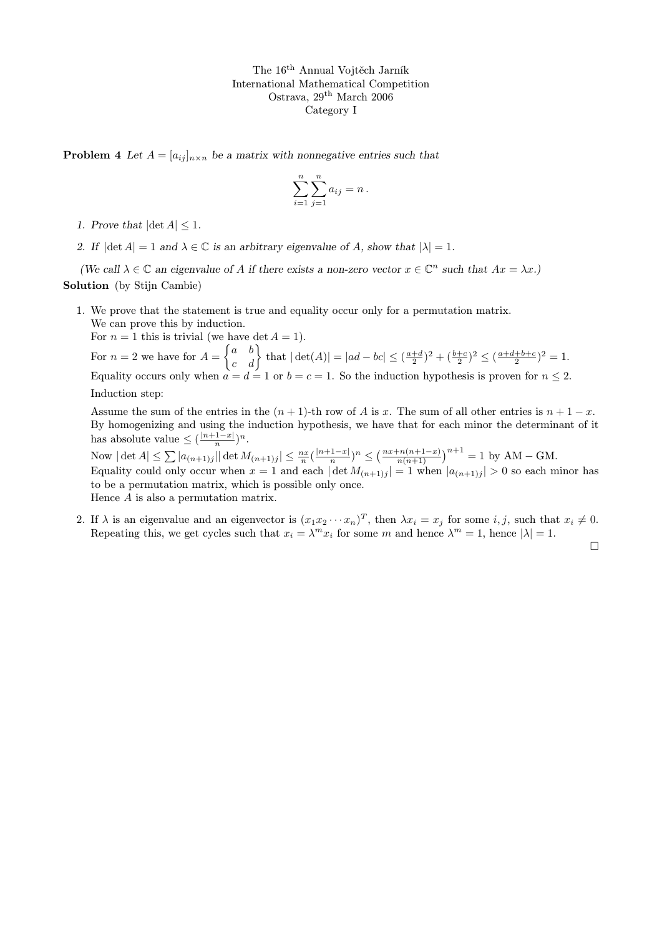**Problem 4** Let  $A = [a_{ij}]_{n \times n}$  be a matrix with nonnegative entries such that

$$
\sum_{i=1}^{n} \sum_{j=1}^{n} a_{ij} = n \, .
$$

- 1. Prove that  $|\det A| < 1$ .
- 2. If  $|\det A| = 1$  and  $\lambda \in \mathbb{C}$  is an arbitrary eigenvalue of A, show that  $|\lambda| = 1$ .

(We call  $\lambda \in \mathbb{C}$  an eigenvalue of A if there exists a non-zero vector  $x \in \mathbb{C}^n$  such that  $Ax = \lambda x$ .) Solution (by Stijn Cambie)

1. We prove that the statement is true and equality occur only for a permutation matrix. We can prove this by induction.

For  $n = 1$  this is trivial (we have det  $A = 1$ ). For  $n = 2$  we have for  $A = \begin{Bmatrix} a & b \\ c & d \end{Bmatrix}$  that  $|\det(A)| = |ad - bc| \leq (\frac{a+d}{2})^2 + (\frac{b+c}{2})^2 \leq (\frac{a+d+b+c}{2})^2 = 1$ . Equality occurs only when  $a = d = 1$  or  $b = c = 1$ . So the induction hypothesis is proven for  $n \leq 2$ . Induction step:

Assume the sum of the entries in the  $(n + 1)$ -th row of A is x. The sum of all other entries is  $n + 1 - x$ . By homogenizing and using the induction hypothesis, we have that for each minor the determinant of it has absolute value  $\leq (\frac{|n+1-x|}{n})$  $\frac{1-x}{n}\big)^n$ .

Now  $|\det A| \leq \sum |a_{(n+1)j}|| \det M_{(n+1)j}|| \leq \frac{nx}{n} (\frac{|n+1-x|}{n})$  $\frac{(n+1-x)}{n}$ <sup>n</sup>  $\leq \left(\frac{nx+n(n+1-x)}{n(n+1)}\right)^{n+1} = 1$  by AM – GM. Equality could only occur when  $x = 1$  and each  $|\det M_{(n+1)j}| = 1$  when  $|a_{(n+1)j}| > 0$  so each minor has to be a permutation matrix, which is possible only once. Hence A is also a permutation matrix.

2. If  $\lambda$  is an eigenvalue and an eigenvector is  $(x_1x_2 \cdots x_n)^T$ , then  $\lambda x_i = x_j$  for some i, j, such that  $x_i \neq 0$ . Repeating this, we get cycles such that  $x_i = \lambda^m x_i$  for some m and hence  $\lambda^m = 1$ , hence  $|\lambda| = 1$ .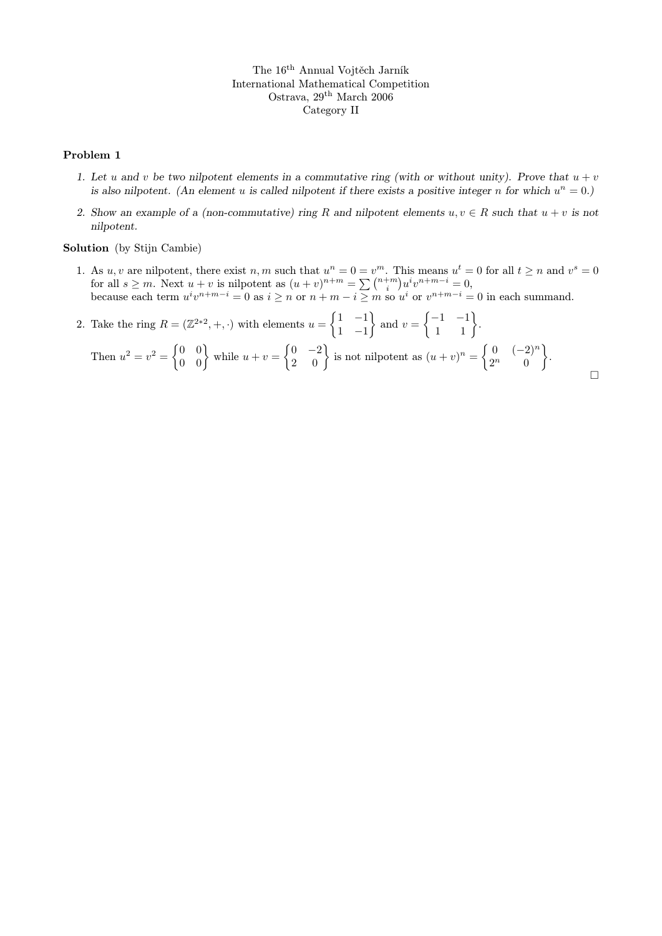### Problem 1

- 1. Let u and v be two nilpotent elements in a commutative ring (with or without unity). Prove that  $u + v$ is also nilpotent. (An element u is called nilpotent if there exists a positive integer n for which  $u^n = 0$ .)
- 2. Show an example of a (non-commutative) ring R and nilpotent elements  $u, v \in R$  such that  $u + v$  is not nilpotent.

Solution (by Stijn Cambie)

1. As u, v are nilpotent, there exist n, m such that  $u^n = 0 = v^m$ . This means  $u^t = 0$  for all  $t \ge n$  and  $v^s = 0$ for all  $s \ge m$ . Next  $u + v$  is nilpotent as  $(u + v)^{n+m} = \sum_{n=0}^{\infty} {n+m \choose i} u^i v^{n+m-i} = 0$ , because each term  $u^iv^{n+m-i} = 0$  as  $i \geq n$  or  $n+m-i \geq m$  so  $u^i$  or  $v^{n+m-i} = 0$  in each summand.

2. Take the ring 
$$
R = (\mathbb{Z}^{2*2}, +, \cdot)
$$
 with elements  $u = \begin{Bmatrix} 1 & -1 \\ 1 & -1 \end{Bmatrix}$  and  $v = \begin{Bmatrix} -1 & -1 \\ 1 & 1 \end{Bmatrix}$ .  
Then  $u^2 = v^2 = \begin{Bmatrix} 0 & 0 \\ 0 & 0 \end{Bmatrix}$  while  $u + v = \begin{Bmatrix} 0 & -2 \\ 2 & 0 \end{Bmatrix}$  is not nilpotent as  $(u + v)^n = \begin{Bmatrix} 0 & (-2)^n \\ 2^n & 0 \end{Bmatrix}$ .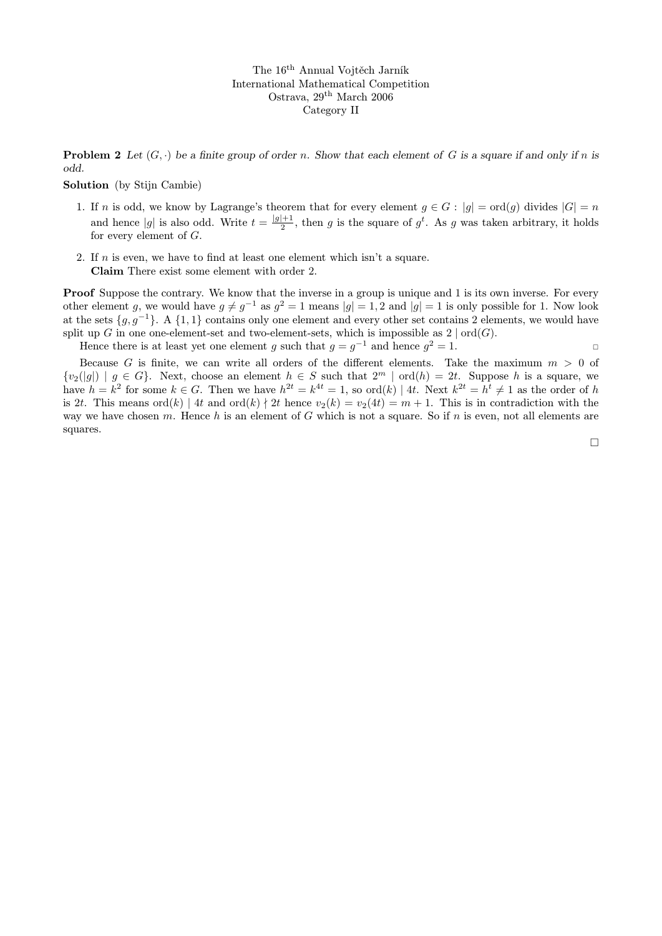**Problem 2** Let  $(G, \cdot)$  be a finite group of order n. Show that each element of G is a square if and only if n is odd.

### Solution (by Stijn Cambie)

- 1. If n is odd, we know by Lagrange's theorem that for every element  $g \in G : |g| = \text{ord}(g)$  divides  $|G| = n$ and hence |g| is also odd. Write  $t = \frac{|g|+1}{2}$  $\frac{1}{2}$ , then g is the square of g<sup>t</sup>. As g was taken arbitrary, it holds for every element of G.
- 2. If  $n$  is even, we have to find at least one element which isn't a square. Claim There exist some element with order 2.

**Proof** Suppose the contrary. We know that the inverse in a group is unique and 1 is its own inverse. For every other element g, we would have  $g \neq g^{-1}$  as  $g^2 = 1$  means  $|g| = 1, 2$  and  $|g| = 1$  is only possible for 1. Now look at the sets  $\{g, g^{-1}\}\$ . A  $\{1, 1\}$  contains only one element and every other set contains 2 elements, we would have split up G in one one-element-set and two-element-sets, which is impossible as  $2 | ord(G)$ .

Hence there is at least yet one element g such that  $g = g^{-1}$  and hence  $g^2 = 1$ .

Because G is finite, we can write all orders of the different elements. Take the maximum  $m > 0$  of  ${v_2(|g|) | g \in G}$ . Next, choose an element  $h \in S$  such that  $2^m | \text{ord}(h) = 2t$ . Suppose h is a square, we have  $h = k^2$  for some  $k \in G$ . Then we have  $h^{2t} = k^{4t} = 1$ , so  $\text{ord}(k) | 4t$ . Next  $k^{2t} = h^t \neq 1$  as the order of h is 2t. This means ord(k) | 4t and ord(k) | 2t hence  $v_2(k) = v_2(4t) = m + 1$ . This is in contradiction with the way we have chosen m. Hence h is an element of G which is not a square. So if n is even, not all elements are squares.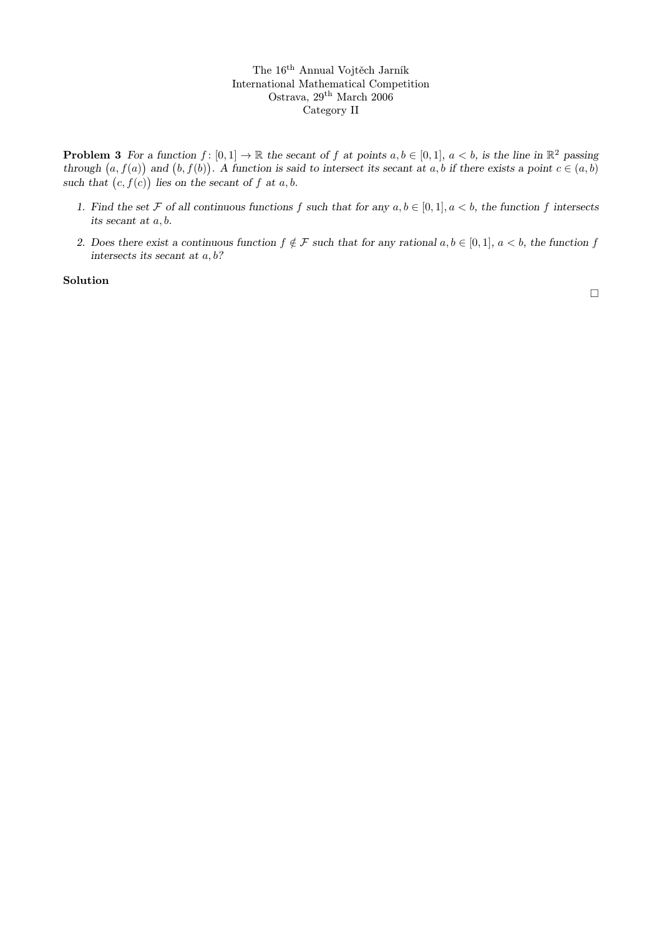**Problem 3** For a function  $f: [0,1] \to \mathbb{R}$  the secant of f at points  $a, b \in [0,1]$ ,  $a < b$ , is the line in  $\mathbb{R}^2$  passing through  $(a, f(a))$  and  $(b, f(b))$ . A function is said to intersect its secant at a, b if there exists a point  $c \in (a, b)$ such that  $(c, f(c))$  lies on the secant of f at a, b.

- 1. Find the set F of all continuous functions f such that for any  $a, b \in [0, 1], a < b$ , the function f intersects its secant at a, b.
- 2. Does there exist a continuous function  $f \notin \mathcal{F}$  such that for any rational  $a, b \in [0, 1], a < b$ , the function f intersects its secant at a, b?

Solution